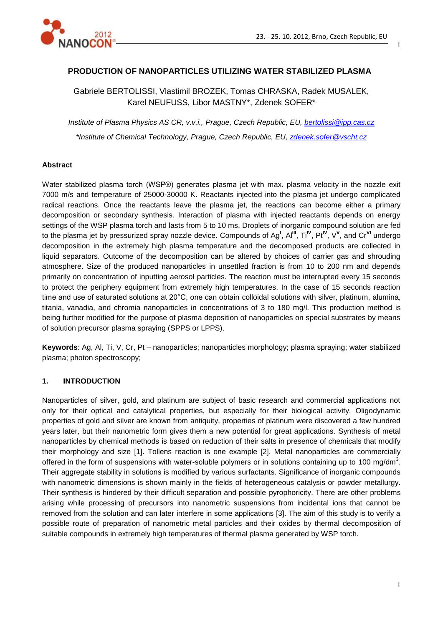

## **PRODUCTION OF NANOPARTICLES UTILIZING WATER STABILIZED PLASMA**

Gabriele BERTOLISSI, Vlastimil BROZEK, Tomas CHRASKA, Radek MUSALEK, Karel NEUFUSS, Libor MASTNY\*, Zdenek SOFER\*

*Institute of Plasma Physics AS CR, v.v.i., Prague, Czech Republic, EU, [bertolissi@ipp.cas.cz](mailto:bertolissi@ipp.cas.cz) \*Institute of Chemical Technology, Prague, Czech Republic, EU, [zdenek.sofer@vscht.cz](mailto:zdenek.sofer@vscht.cz)*

### **Abstract**

Water stabilized plasma torch (WSP®) generates plasma jet with max. plasma velocity in the nozzle exit 7000 m/s and temperature of 25000-30000 K. Reactants injected into the plasma jet undergo complicated radical reactions. Once the reactants leave the plasma jet, the reactions can become either a primary decomposition or secondary synthesis. Interaction of plasma with injected reactants depends on energy settings of the WSP plasma torch and lasts from 5 to 10 ms. Droplets of inorganic compound solution are fed to the plasma jet by pressurized spray nozzle device. Compounds of Ag<sup>I</sup>, Al<sup>III</sup>, Ti<sup>IV</sup>, Pt<sup>IV</sup>, V<sup>V</sup>, and Cr<sup>VI</sup> undergo decomposition in the extremely high plasma temperature and the decomposed products are collected in liquid separators. Outcome of the decomposition can be altered by choices of carrier gas and shrouding atmosphere. Size of the produced nanoparticles in unsettled fraction is from 10 to 200 nm and depends primarily on concentration of inputting aerosol particles. The reaction must be interrupted every 15 seconds to protect the periphery equipment from extremely high temperatures. In the case of 15 seconds reaction time and use of saturated solutions at 20°C, one can obtain colloidal solutions with silver, platinum, alumina, titania, vanadia, and chromia nanoparticles in concentrations of 3 to 180 mg/l. This production method is being further modified for the purpose of plasma deposition of nanoparticles on special substrates by means of solution precursor plasma spraying (SPPS or LPPS).

**Keywords**: Ag, Al, Ti, V, Cr, Pt – nanoparticles; nanoparticles morphology; plasma spraying; water stabilized plasma; photon spectroscopy;

## **1. INTRODUCTION**

Nanoparticles of silver, gold, and platinum are subject of basic research and commercial applications not only for their optical and catalytical properties, but especially for their biological activity. Oligodynamic properties of gold and silver are known from antiquity, properties of platinum were discovered a few hundred years later, but their nanometric form gives them a new potential for great applications. Synthesis of metal nanoparticles by chemical methods is based on reduction of their salts in presence of chemicals that modify their morphology and size [1]. Tollens reaction is one example [2]. Metal nanoparticles are commercially offered in the form of suspensions with water-soluble polymers or in solutions containing up to 100 mg/dm<sup>3</sup>. Their aggregate stability in solutions is modified by various surfactants. Significance of inorganic compounds with nanometric dimensions is shown mainly in the fields of heterogeneous catalysis or powder metallurgy. Their synthesis is hindered by their difficult separation and possible pyrophoricity. There are other problems arising while processing of precursors into nanometric suspensions from incidental ions that cannot be removed from the solution and can later interfere in some applications [3]. The aim of this study is to verify a possible route of preparation of nanometric metal particles and their oxides by thermal decomposition of suitable compounds in extremely high temperatures of thermal plasma generated by WSP torch.

1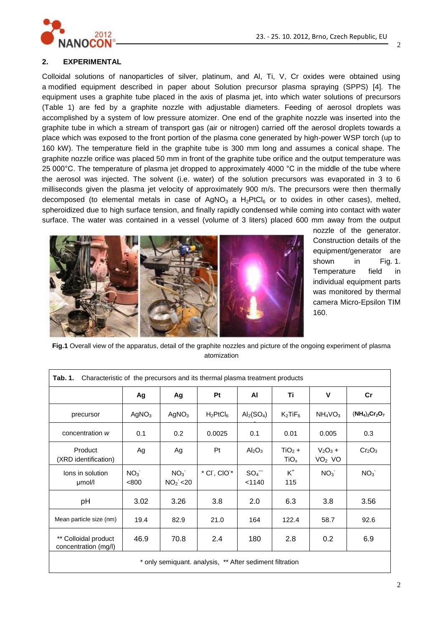

### **2. EXPERIMENTAL**

Colloidal solutions of nanoparticles of silver, platinum, and Al, Ti, V, Cr oxides were obtained using a modified equipment described in paper about Solution precursor plasma spraying (SPPS) [4]. The equipment uses a graphite tube placed in the axis of plasma jet, into which water solutions of precursors (Table 1) are fed by a graphite nozzle with adjustable diameters. Feeding of aerosol droplets was accomplished by a system of low pressure atomizer. One end of the graphite nozzle was inserted into the graphite tube in which a stream of transport gas (air or nitrogen) carried off the aerosol droplets towards a place which was exposed to the front portion of the plasma cone generated by high-power WSP torch (up to 160 kW). The temperature field in the graphite tube is 300 mm long and assumes a conical shape. The graphite nozzle orifice was placed 50 mm in front of the graphite tube orifice and the output temperature was 25 000°C. The temperature of plasma jet dropped to approximately 4000 °C in the middle of the tube where the aerosol was injected. The solvent (i.e. water) of the solution precursors was evaporated in 3 to 6 milliseconds given the plasma jet velocity of approximately 900 m/s. The precursors were then thermally decomposed (to elemental metals in case of AgNO<sub>3</sub> a H<sub>2</sub>PtCl<sub>6</sub> or to oxides in other cases), melted, spheroidized due to high surface tension, and finally rapidly condensed while coming into contact with water surface. The water was contained in a vessel (volume of 3 liters) placed 600 mm away from the output



nozzle of the generator. Construction details of the equipment/generator are shown in Fig. 1. Temperature field in individual equipment parts was monitored by thermal camera Micro-Epsilon TIM 160.

**Fig.1** Overall view of the apparatus, detail of the graphite nozzles and picture of the ongoing experiment of plasma atomization

| Characteristic of the precursors and its thermal plasma treatment products<br>Tab. 1. |                          |                                         |                        |                                |                              |                                  |                                |
|---------------------------------------------------------------------------------------|--------------------------|-----------------------------------------|------------------------|--------------------------------|------------------------------|----------------------------------|--------------------------------|
|                                                                                       | Ag                       | Ag                                      | Pt                     | AI                             | Τi                           | v                                | Cr                             |
| precursor                                                                             | AgNO <sub>3</sub>        | AgNO <sub>3</sub>                       | $H_2PtCl_6$            | $\text{Al}_2(\text{SO}_4)$     | $K_2$ Ti $F_6$               | NH <sub>4</sub> VO <sub>3</sub>  | $(NH_4)_2Cr_2O_7$              |
| concentration w                                                                       | 0.1                      | 0.2                                     | 0.0025                 | 0.1                            | 0.01                         | 0.005                            | 0.3                            |
| Product<br>(XRD identification)                                                       | Ag                       | Ag                                      | Pt                     | Al <sub>2</sub> O <sub>3</sub> | $TiO2 +$<br>TiO <sub>x</sub> | $V_2O_3 +$<br>VO <sub>2</sub> VO | Cr <sub>2</sub> O <sub>3</sub> |
| lons in solution<br>µmol/l                                                            | NO <sub>3</sub><br>< 800 | NO <sub>3</sub><br>NO <sub>2</sub> < 20 | * CI, CIO <sup>*</sup> | $SO_4$ <sup>-</sup><br>< 1140  | $K^+$<br>115                 | NO <sub>3</sub>                  | NO <sub>3</sub>                |
| pH                                                                                    | 3.02                     | 3.26                                    | 3.8                    | 2.0                            | 6.3                          | 3.8                              | 3.56                           |
| Mean particle size (nm)                                                               | 19.4                     | 82.9                                    | 21.0                   | 164                            | 122.4                        | 58.7                             | 92.6                           |
| ** Colloidal product<br>concentration (mg/l)                                          | 46.9                     | 70.8                                    | 2.4                    | 180                            | 2.8                          | 0.2                              | 6.9                            |
| * only semiquant. analysis, ** After sediment filtration                              |                          |                                         |                        |                                |                              |                                  |                                |

2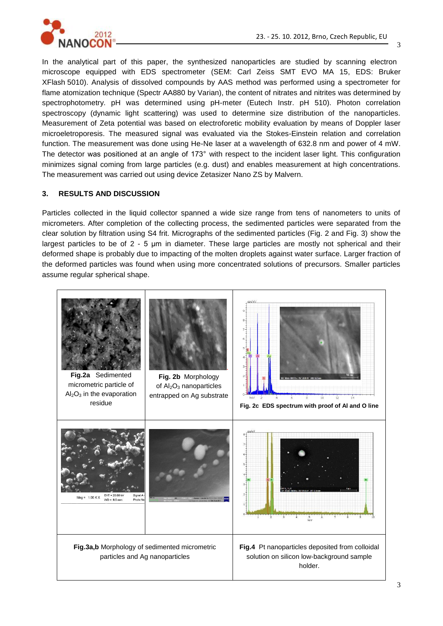

In the analytical part of this paper, the synthesized nanoparticles are studied by scanning electron microscope equipped with EDS spectrometer (SEM: Carl Zeiss SMT EVO MA 15, EDS: Bruker XFlash 5010). Analysis of dissolved compounds by AAS method was performed using a spectrometer for flame atomization technique (Spectr AA880 by Varian), the content of nitrates and nitrites was determined by spectrophotometry. pH was determined using pH-meter (Eutech Instr. pH 510). Photon correlation spectroscopy (dynamic light scattering) was used to determine size distribution of the nanoparticles. Measurement of Zeta potential was based on electroforetic mobility evaluation by means of Doppler laser microeletroporesis. The measured signal was evaluated via the Stokes-Einstein relation and correlation function. The measurement was done using He-Ne laser at a wavelength of 632.8 nm and power of 4 mW. The detector was positioned at an angle of 173° with respect to the incident laser light. This configuration minimizes signal coming from large particles (e.g. dust) and enables measurement at high concentrations. The measurement was carried out using device Zetasizer Nano ZS by Malvern.

## **3. RESULTS AND DISCUSSION**

Particles collected in the liquid collector spanned a wide size range from tens of nanometers to units of micrometers. After completion of the collecting process, the sedimented particles were separated from the clear solution by filtration using S4 frit. Micrographs of the sedimented particles (Fig. 2 and Fig. 3) show the largest particles to be of 2 - 5 µm in diameter. These large particles are mostly not spherical and their deformed shape is probably due to impacting of the molten droplets against water surface. Larger fraction of the deformed particles was found when using more concentrated solutions of precursors. Smaller particles assume regular spherical shape.

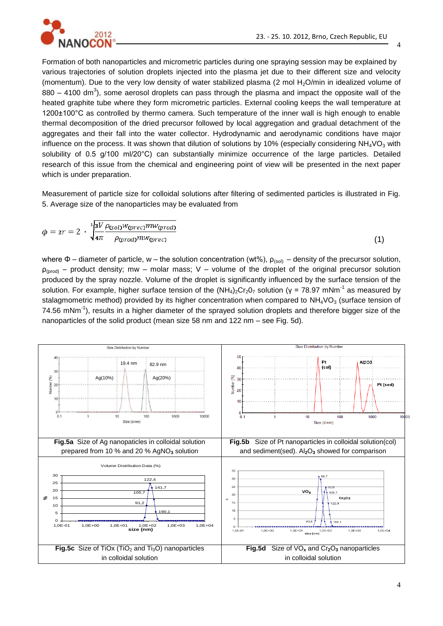

Formation of both nanoparticles and micrometric particles during one spraying session may be explained by various trajectories of solution droplets injected into the plasma jet due to their different size and velocity (momentum). Due to the very low density of water stabilized plasma (2 mol  $H<sub>2</sub>O/min$  in idealized volume of 880 – 4100 dm<sup>3</sup>), some aerosol droplets can pass through the plasma and impact the opposite wall of the heated graphite tube where they form micrometric particles. External cooling keeps the wall temperature at 1200±100°C as controlled by thermo camera. Such temperature of the inner wall is high enough to enable thermal decomposition of the dried precursor followed by local aggregation and gradual detachment of the aggregates and their fall into the water collector. Hydrodynamic and aerodynamic conditions have major influence on the process. It was shown that dilution of solutions by 10% (especially considering  $NH<sub>4</sub>VO<sub>3</sub>$  with solubility of 0.5 g/100 ml/20°C) can substantially minimize occurrence of the large particles. Detailed research of this issue from the chemical and engineering point of view will be presented in the next paper which is under preparation.

Measurement of particle size for colloidal solutions after filtering of sedimented particles is illustrated in Fig. 5. Average size of the nanoparticles may be evaluated from

$$
\phi = zr = 2 \cdot \sqrt[3]{\frac{3V}{4\pi} \frac{\rho_{\text{(sol)}W_{\text{(prec)}} m w_{\text{(prod)}}}{\rho_{\text{(prod)}m w_{\text{(prec)}}}}}
$$
\n(1)

where  $\Phi$  – diameter of particle, w – the solution concentration (wt%),  $\rho_{(sol)}$  – density of the precursor solution,  $p_{(prod)}$  – product density; mw – molar mass; V – volume of the droplet of the original precursor solution produced by the spray nozzle. Volume of the droplet is significantly influenced by the surface tension of the solution. For example, higher surface tension of the  $(NH_4)_2Cr_2O_7$  solution (γ = 78.97 mNm<sup>-1</sup> as measured by stalagmometric method) provided by its higher concentration when compared to  $NH<sub>4</sub>VO<sub>3</sub>$  (surface tension of 74.56 mNm<sup>-1</sup>), results in a higher diameter of the sprayed solution droplets and therefore bigger size of the nanoparticles of the solid product (mean size 58 nm and 122 nm – see Fig. 5d).

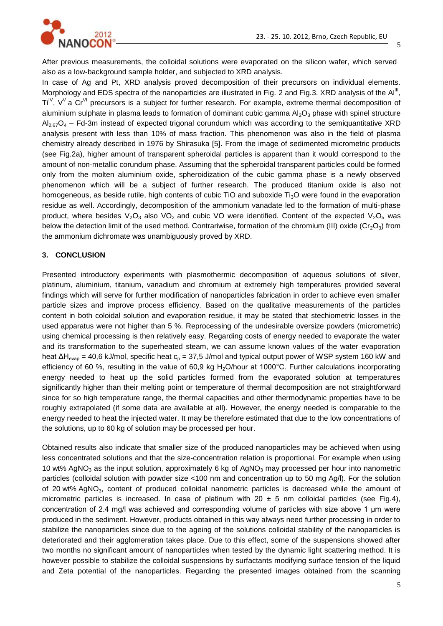

After previous measurements, the colloidal solutions were evaporated on the silicon wafer, which served also as a low-background sample holder, and subjected to XRD analysis.

In case of Ag and Pt, XRD analysis proved decomposition of their precursors on individual elements. Morphology and EDS spectra of the nanoparticles are illustrated in Fig. 2 and Fig.3. XRD analysis of the Al<sup>III</sup>,  $Ti<sup>V</sup>$ ,  $V<sup>V</sup>$  a Cr<sup>VI</sup> precursors is a subject for further research. For example, extreme thermal decomposition of aluminium sulphate in plasma leads to formation of dominant cubic gamma  $Al_2O_3$  phase with spinel structure  $Al_{2.67}O_4$  – Fd-3m instead of expected trigonal corundum which was according to the semiquantitative XRD analysis present with less than 10% of mass fraction. This phenomenon was also in the field of plasma chemistry already described in 1976 by Shirasuka [5]. From the image of sedimented micrometric products (see Fig.2a), higher amount of transparent spheroidal particles is apparent than it would correspond to the amount of non-metallic corundum phase. Assuming that the spheroidal transparent particles could be formed only from the molten aluminium oxide, spheroidization of the cubic gamma phase is a newly observed phenomenon which will be a subject of further research. The produced titanium oxide is also not homogeneous, as beside rutile, high contents of cubic TiO and suboxide Ti<sub>3</sub>O were found in the evaporation residue as well. Accordingly, decomposition of the ammonium vanadate led to the formation of multi-phase product, where besides  $V_2O_3$  also VO<sub>2</sub> and cubic VO were identified. Content of the expected V<sub>2</sub>O<sub>5</sub> was below the detection limit of the used method. Contrariwise, formation of the chromium (III) oxide ( $Cr_2O_3$ ) from the ammonium dichromate was unambiguously proved by XRD.

### **3. CONCLUSION**

Presented introductory experiments with plasmothermic decomposition of aqueous solutions of silver, platinum, aluminium, titanium, vanadium and chromium at extremely high temperatures provided several findings which will serve for further modification of nanoparticles fabrication in order to achieve even smaller particle sizes and improve process efficiency. Based on the qualitative measurements of the particles content in both coloidal solution and evaporation residue, it may be stated that stechiometric losses in the used apparatus were not higher than 5 %. Reprocessing of the undesirable oversize powders (micrometric) using chemical processing is then relatively easy. Regarding costs of energy needed to evaporate the water and its transformation to the superheated steam, we can assume known values of the water evaporation heat  $\Delta H_{evap}$  = 40,6 kJ/mol, specific heat  $c_p$  = 37,5 J/mol and typical output power of WSP system 160 kW and efficiency of 60 %, resulting in the value of 60,9 kg  $H_2O/h$ our at 1000°C. Further calculations incorporating energy needed to heat up the solid particles formed from the evaporated solution at temperatures significantly higher than their melting point or temperature of thermal decomposition are not straightforward since for so high temperature range, the thermal capacities and other thermodynamic properties have to be roughly extrapolated (if some data are available at all). However, the energy needed is comparable to the energy needed to heat the injected water. It may be therefore estimated that due to the low concentrations of the solutions, up to 60 kg of solution may be processed per hour.

Obtained results also indicate that smaller size of the produced nanoparticles may be achieved when using less concentrated solutions and that the size-concentration relation is proportional. For example when using 10 wt% AgNO<sub>3</sub> as the input solution, approximately 6 kg of AgNO<sub>3</sub> may processed per hour into nanometric particles (colloidal solution with powder size <100 nm and concentration up to 50 mg Ag/l). For the solution of 20 wt% AgNO<sub>3</sub>, content of produced colloidal nanometric particles is decreased while the amount of micrometric particles is increased. In case of platinum with 20  $\pm$  5 nm colloidal particles (see Fig.4), concentration of 2.4 mg/l was achieved and corresponding volume of particles with size above 1 μm were produced in the sediment. However, products obtained in this way always need further processing in order to stabilize the nanoparticles since due to the ageing of the solutions colloidal stability of the nanoparticles is deteriorated and their agglomeration takes place. Due to this effect, some of the suspensions showed after two months no significant amount of nanoparticles when tested by the dynamic light scattering method. It is however possible to stabilize the colloidal suspensions by surfactants modifying surface tension of the liquid and Zeta potential of the nanoparticles. Regarding the presented images obtained from the scanning